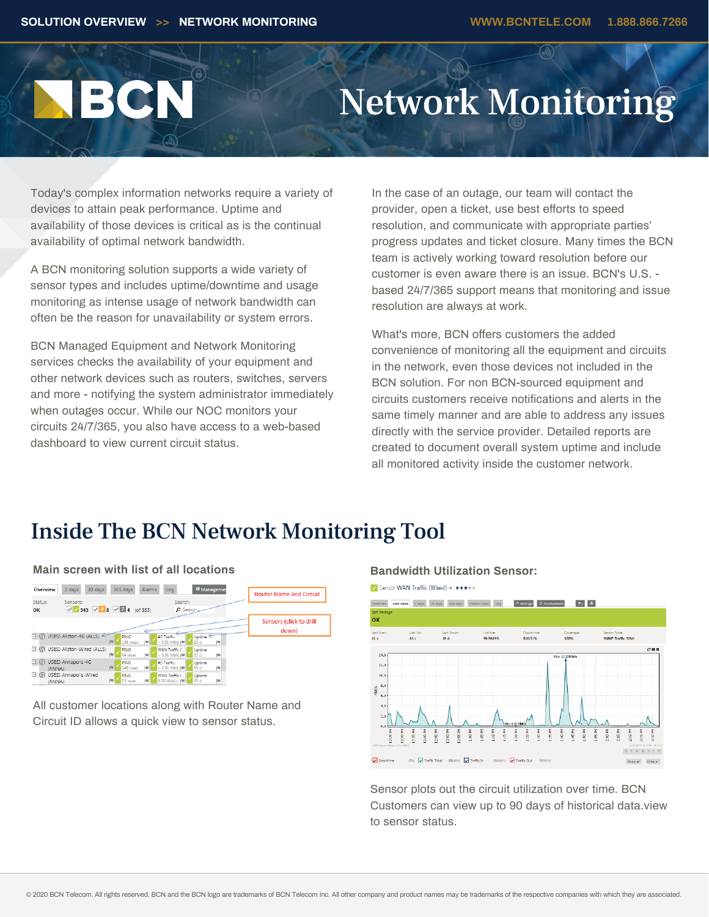# BCN

## Network Monitoring

Today's complex information networks require a variety of devices to attain peak performance. Uptime and availability of those devices is critical as is the continual availability of optimal network bandwidth.

A BCN monitoring solution supports a wide variety of sensor types and includes uptime/downtime and usage monitoring as intense usage of network bandwidth can often be the reason for unavailability or system errors.

BCN Managed Equipment and Network Monitoring services checks the availability of your equipment and other network devices such as routers, switches, servers and more - notifying the system administrator immediately when outages occur. While our NOC monitors your circuits 24/7/365, you also have access to a web-based dashboard to view current circuit status.

In the case of an outage, our team will contact the provider, open a ticket, use best efforts to speed resolution, and communicate with appropriate parties' progress updates and ticket closure. Many times the BCN team is actively working toward resolution before our customer is even aware there is an issue. BCN's U.S. based 24/7/365 support means that monitoring and issue resolution are always at work.

What's more, BCN offers customers the added convenience of monitoring all the equipment and circuits in the network, even those devices not included in the BCN solution. For non BCN-sourced equipment and circuits customers receive notifications and alerts in the same timely manner and are able to address any issues directly with the service provider. Detailed reports are created to document overall system uptime and include all monitored activity inside the customer network.

## Inside The BCN Network Monitoring Tool

## **Main screen with list of all locations <b>Bandwidth Utilization Sensor:**



All customer locations along with Router Name and Circuit ID allows a quick view to sensor status.



Sensor plots out the circuit utilization over time. BCN Customers can view up to 90 days of historical data.view to sensor status.